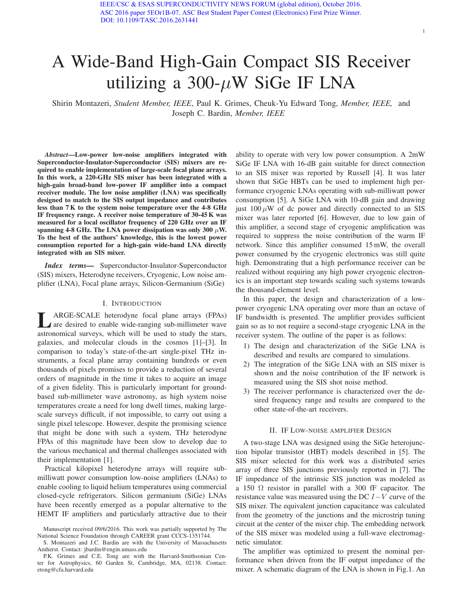# A Wide-Band High-Gain Compact SIS Receiver utilizing a 300- $\mu$ W SiGe IF LNA

Shirin Montazeri, *Student Member, IEEE*, Paul K. Grimes, Cheuk-Yu Edward Tong, *Member, IEEE,* and Joseph C. Bardin, *Member, IEEE*

*Abstract*—Low-power low-noise amplifiers integrated with Superconductor-Insulator-Superconductor (SIS) mixers are required to enable implementation of large-scale focal plane arrays. In this work, a 220-GHz SIS mixer has been integrated with a high-gain broad-band low-power IF amplifier into a compact receiver module. The low noise amplifier (LNA) was specifically designed to match to the SIS output impedance and contributes less than 7 K to the system noise temperature over the 4-8 GHz IF frequency range. A receiver noise temperature of 30-45 K was measured for a local oscillator frequency of 220 GHz over an IF spanning 4-8 GHz. The LNA power dissipation was only 300  $\mu$ W. To the best of the authors' knowledge, this is the lowest power consumption reported for a high-gain wide-band LNA directly integrated with an SIS mixer.

*Index terms—* Superconductor-Insulator-Superconductor (SIS) mixers, Heterodyne receivers, Cryogenic, Low noise amplifier (LNA), Focal plane arrays, Silicon-Germanium (SiGe)

### I. INTRODUCTION

ARGE-SCALE heterodyne focal plane arrays (FPAs) A are desired to enable wide-ranging sub-millimeter wave astronomical surveys, which will be used to study the stars, galaxies, and molecular clouds in the cosmos [1]–[3]. In comparison to today's state-of-the-art single-pixel THz instruments, a focal plane array containing hundreds or even thousands of pixels promises to provide a reduction of several orders of magnitude in the time it takes to acquire an image of a given fidelity. This is particularly important for groundbased sub-millimeter wave astronomy, as high system noise temperatures create a need for long dwell times, making largescale surveys difficult, if not impossible, to carry out using a single pixel telescope. However, despite the promising science that might be done with such a system, THz heterodyne FPAs of this magnitude have been slow to develop due to the various mechanical and thermal challenges associated with their implementation [1].

Practical kilopixel heterodyne arrays will require submilliwatt power consumption low-noise amplifiers (LNAs) to enable cooling to liquid helium temperatures using commercial closed-cycle refrigerators. Silicon germanium (SiGe) LNAs have been recently emerged as a popular alternative to the HEMT IF amplifiers and particularly attractive due to their ability to operate with very low power consumption. A 2mW SiGe IF LNA with 16-dB gain suitable for direct connection to an SIS mixer was reported by Russell [4]. It was later shown that SiGe HBTs can be used to implement high performance cryogenic LNAs operating with sub-milliwatt power consumption [5]. A SiGe LNA with 10-dB gain and drawing just  $100 \mu W$  of dc power and directly connected to an SIS mixer was later reported [6]. However, due to low gain of this amplifier, a second stage of cryogenic amplification was required to suppress the noise contribution of the warm IF network. Since this amplifier consumed 15 mW, the overall power consumed by the cryogenic electronics was still quite high. Demonstrating that a high performance receiver can be realized without requiring any high power cryogenic electronics is an important step towards scaling such systems towards the thousand-element level.

1

In this paper, the design and characterization of a lowpower cryogenic LNA operating over more than an octave of IF bandwidth is presented. The amplifier provides sufficient gain so as to not require a second-stage cryogenic LNA in the receiver system. The outline of the paper is as follows:

- 1) The design and characterization of the SiGe LNA is described and results are compared to simulations.
- 2) The integration of the SiGe LNA with an SIS mixer is shown and the noise contribution of the IF network is measured using the SIS shot noise method.
- 3) The receiver performance is characterized over the desired frequency range and results are compared to the other state-of-the-art receivers.

## II. IF LOW-NOISE AMPLIFIER DESIGN

A two-stage LNA was designed using the SiGe heterojunction bipolar transistor (HBT) models described in [5]. The SIS mixer selected for this work was a distributed series array of three SIS junctions previously reported in [7]. The IF impedance of the intrinsic SIS junction was modeled as a 150  $\Omega$  resistor in parallel with a 300 fF capacitor. The resistance value was measured using the DC  $I-V$  curve of the SIS mixer. The equivalent junction capacitance was calculated from the geometry of the junctions and the microstrip tuning circuit at the center of the mixer chip. The embedding network of the SIS mixer was modeled using a full-wave electromagnetic simulator.

The amplifier was optimized to present the nominal performance when driven from the IF output impedance of the mixer. A schematic diagram of the LNA is shown in Fig.1. An

Manuscript received 09/6/2016. This work was partially supported by The National Science Foundation through CAREER grant CCCS-1351744.

S. Montazeri and J.C. Bardin are with the University of Massachusetts Amherst. Contact: jbardin@engin.umass.edu

P.K. Grimes and C.E. Tong are with the Harvard-Smithsonian Center for Astrophysics, 60 Garden St, Cambridge, MA, 02138. Contact: etong@cfa.harvard.edu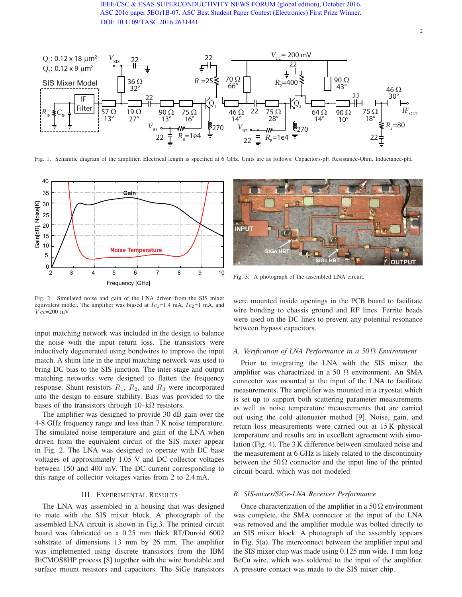# [IEEE/CSC & ESAS SUPERCONDU](http://ieeexplore.ieee.org/document/7752884/)CTIVITY NEWS FORUM (global edition), October 2016. ASC 2016 paper 5EOr1B-07. ASC Best Student Paper Contest (Electronics) First Prize Winner. DOI: 10.1109/TASC.2016.2631441



Fig. 1. Schamtic diagram of the amplifier. Electrical length is specified at 6 GHz. Units are as follows: Capacitors-pF, Resistance-Ohm, Inductance-pH.



Fig. 2. Simulated noise and gain of the LNA driven from the SIS mixer equivalent model. The amplifier was biased at  $Ic_1$ =1.4 mA,  $Ic_2$ =1 mA, and  $Vcc=200$  mV

input matching network was included in the design to balance the noise with the input return loss. The transistors were inductively degenerated using bondwires to improve the input match. A shunt line in the input matching network was used to bring DC bias to the SIS junction. The inter-stage and output matching networks were designed to flatten the frequency response. Shunt resistors  $R_1$ ,  $R_2$ , and  $R_3$  were incorporated into the design to ensure stability. Bias was provided to the bases of the transistors through 10- k $\Omega$  resistors.

The amplifier was designed to provide 30 dB gain over the 4-8 GHz frequency range and less than 7 K noise temperature. The simulated noise temperature and gain of the LNA when driven from the equivalent circuit of the SIS mixer appear in Fig. 2. The LNA was designed to operate with DC base voltages of approximately 1.05 V and DC collector voltages between 150 and 400 mV. The DC current corresponding to this range of collector voltages varies from 2 to 2.4 mA.

## III. EXPERIMENTAL RESULTS

The LNA was assembled in a housing that was designed to mate with the SIS mixer block. A photograph of the assembled LNA circuit is shown in Fig.3. The printed circuit board was fabricated on a 0.25 mm thick RT/Duroid 6002 substrate of dimensions 13 mm by 26 mm. The amplifier was implemented using discrete transistors from the IBM BiCMOS8HP process [8] together with the wire bondable and surface mount resistors and capacitors. The SiGe transistors



Fig. 3. A photograph of the assembled LNA circuit.

were mounted inside openings in the PCB board to facilitate wire bonding to chassis ground and RF lines. Ferrite beads were used on the DC lines to prevent any potential resonance between bypass capacitors.

### *A. Verification of LNA Performance in a 50* Ω *Environment*

Prior to integrating the LNA with the SIS mixer, the amplifier was charactrized in a 50  $\Omega$  environment. An SMA connector was mounted at the input of the LNA to facilitate measurements. The amplifier was mounted in a cryostat which is set up to support both scattering parameter measurements as well as noise temperature meausrements that are carried out using the cold attenuator method [9]. Noise, gain, and return loss measurements were carried out at 15 K physical temperature and results are in excellent agreement with simulation (Fig. 4). The 3 K difference between simulated noise and the measurement at 6 GHz is likely related to the discontinuity between the 50  $\Omega$  connector and the input line of the printed circuit board, which was not modeled.

# *B. SIS-mixer/SiGe-LNA Receiver Performance*

Once characterization of the amplifier in a 50  $\Omega$  environment was complete, the SMA connector at the input of the LNA was removed and the amplifier module was bolted directly to an SIS mixer block. A photograph of the assembly appears in Fig. 5(a). The interconnect between the amplifier input and the SIS mixer chip was made using 0.125 mm wide, 1 mm long BeCu wire, which was soldered to the input of the amplifier. A pressure contact was made to the SIS mixer chip.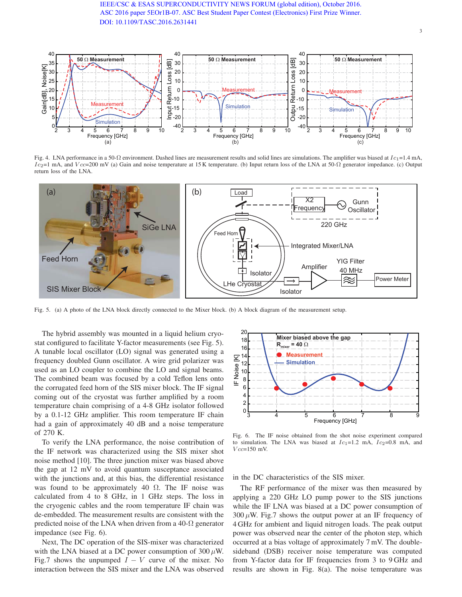[IEEE/CSC & ESAS SUPERCONDU](http://ieeexplore.ieee.org/document/7752884/)CTIVITY NEWS FORUM (global edition), October 2016. ASC 2016 paper 5EOr1B-07. ASC Best Student Paper Contest (Electronics) First Prize Winner. DOI: 10.1109/TASC.2016.2631441



Fig. 4. LNA performance in a 50- $\Omega$  environment. Dashed lines are measurement results and solid lines are simulations. The amplifier was biased at  $Ic_1$ =1.4 mA, Ic<sub>2</sub>=1 mA, and Vcc=200 mV (a) Gain and noise temperature at 15 K temperature. (b) Input return loss of the LNA at 50-Ω generator impedance. (c) Output return loss of the LNA.



Fig. 5. (a) A photo of the LNA block directly connected to the Mixer block. (b) A block diagram of the measurement setup.

The hybrid assembly was mounted in a liquid helium cryostat configured to facilitate Y-factor measurements (see Fig. 5). A tunable local oscillator (LO) signal was generated using a frequency doubled Gunn oscillator. A wire grid polarizer was used as an LO coupler to combine the LO and signal beams. The combined beam was focused by a cold Teflon lens onto the corrugated feed horn of the SIS mixer block. The IF signal coming out of the cryostat was further amplified by a room temperature chain comprising of a 4-8 GHz isolator followed by a 0.1-12 GHz amplifier. This room temperature IF chain had a gain of approximately 40 dB and a noise temperature of 270 K.

To verify the LNA performance, the noise contribution of the IF network was characterized using the SIS mixer shot noise method [10]. The three junction mixer was biased above the gap at 12 mV to avoid quantum susceptance associated with the junctions and, at this bias, the differential resistance was found to be approximately 40  $\Omega$ . The IF noise was calculated from 4 to 8 GHz, in 1 GHz steps. The loss in the cryogenic cables and the room temperature IF chain was de-embedded. The measurement results are consistent with the predicted noise of the LNA when driven from a 40- $\Omega$  generator impedance (see Fig. 6).

Next, The DC operation of the SIS-mixer was characterized with the LNA biased at a DC power consumption of  $300 \mu$ W. Fig.7 shows the unpumped  $I - V$  curve of the mixer. No interaction between the SIS mixer and the LNA was observed



Fig. 6. The IF noise obtained from the shot noise experiment compared to simulation. The LNA was biased at  $Ic_1=1.2$  mA,  $Ic_2=0.8$  mA, and  $Vcc=150$  mV.

in the DC characteristics of the SIS mixer.

The RF performance of the mixer was then measured by applying a 220 GHz LO pump power to the SIS junctions while the IF LNA was biased at a DC power consumption of  $300 \mu$ W. Fig.7 shows the output power at an IF frequency of 4 GHz for ambient and liquid nitrogen loads. The peak output power was observed near the center of the photon step, which occurred at a bias voltage of approximately 7 mV. The doublesideband (DSB) receiver noise temperature was computed from Y-factor data for IF frequencies from 3 to 9 GHz and results are shown in Fig. 8(a). The noise temperature was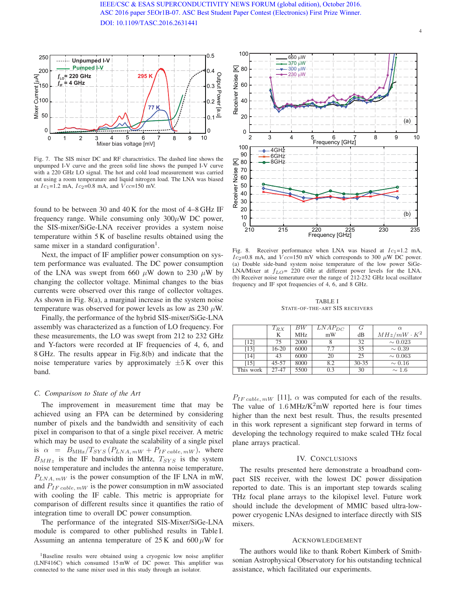

Fig. 7. The SIS mixer DC and RF charactristics. The dashed line shows the unpumped I-V curve and the green solid line shows the pumped I-V curve with a 220 GHz LO signal. The hot and cold load measurement was carried out using a room temperature and liquid nitrogen load. The LNA was biased at  $Ic_1$ =1.2 mA,  $Ic_2$ =0.8 mA, and  $Vcc$ =150 mV.

found to be between 30 and 40 K for the most of 4–8 GHz IF frequency range. While consuming only  $300\mu$ W DC power, the SIS-mixer/SiGe-LNA receiver provides a system noise temperature within 5 K of baseline results obtained using the same mixer in a standard configuration<sup>1</sup>.

Next, the impact of IF amplifier power consumption on system performance was evaluated. The DC power consumption of the LNA was swept from 660  $\mu$ W down to 230  $\mu$ W by changing the collector voltage. Minimal changes to the bias currents were observed over this range of collector voltages. As shown in Fig. 8(a), a marginal increase in the system noise temperature was observed for power levels as low as 230  $\mu$ W.

Finally, the performance of the hybrid SIS-mixer/SiGe-LNA assembly was characterized as a function of LO frequency. For these measurements, the LO was swept from 212 to 232 GHz and Y-factors were recorded at IF frequencies of 4, 6, and 8 GHz. The results appear in Fig.8(b) and indicate that the noise temperature varies by approximately  $\pm 5$  K over this band.

## *C. Comparison to State of the Art*

The improvement in measurement time that may be achieved using an FPA can be determined by considering number of pixels and the bandwidth and sensitivity of each pixel in comparison to that of a single pixel receiver. A metric which may be used to evaluate the scalability of a single pixel is  $\alpha = B_{\text{MHz}}/T_{SYS} (P_{LNA, mW} + P_{IF \text{ cable}, mW}),$  where  $B_{MHz}$  is the IF bandwidth in MHz,  $T_{SYS}$  is the system noise temperature and includes the antenna noise temperature,  $P_{LNA, mW}$  is the power consumption of the IF LNA in mW, and  $P_{IF\, cable.\,mW}$  is the power consumption in mW associated with cooling the IF cable. This metric is appropriate for comparison of different results since it quantifies the ratio of integration time to overall DC power consumption.

The performance of the integrated SIS-Mixer/SiGe-LNA module is compared to other published results in Table I. Assuming an antenna temperature of  $25 \text{ K}$  and  $600 \mu \text{W}$  for



Fig. 8. Receiver performance when LNA was biased at  $Ic_1=1.2$  mA,  $Ic_2$ =0.8 mA, and  $Vcc$ =150 mV which corresponds to 300  $\mu$ W DC power. (a) Double side-band system noise temperature of the low power SiGe-LNA/Mixer at  $f_{LO}$  = 220 GHz at different power levels for the LNA. (b) Receiver noise temerature over the range of 212-232 GHz local oscillator frequency and IF spot frequencies of 4, 6, and 8 GHz.

TABLE I STATE-OF-THE-ART SIS RECEIVERS

|           | $T_{RX}$  | $_{BW}$         | $LNAP_{DC}$ | G         | $\alpha$           |
|-----------|-----------|-----------------|-------------|-----------|--------------------|
|           | K         | MH <sub>z</sub> | mW          | dB        | $MHz/mW \cdot K^2$ |
| [12]      | 75        | 2000            |             | 32        | $\sim 0.023$       |
| [13]      | $16 - 20$ | 6000            | 7.7         | 35        | $\sim 0.39$        |
| [14]      | 43        | 6000            | 20          | 25        | $\sim 0.063$       |
| [15]      | $45 - 57$ | 8000            | 8.2         | $30 - 35$ | $\sim 0.16$        |
| This work | 27-47     | 5500            | 0.3         | 30        | $\sim 1.6$         |

 $P_{IF\, cable.\,mW}$  [11],  $\alpha$  was computed for each of the results. The value of  $1.6 \text{ MHz/K}^2$ mW reported here is four times higher than the next best result. Thus, the results presented in this work represent a significant step forward in terms of developing the technology required to make scaled THz focal plane arrays practical.

## IV. CONCLUSIONS

The results presented here demonstrate a broadband compact SIS receiver, with the lowest DC power dissipation reported to date. This is an important step towards scaling THz focal plane arrays to the kilopixel level. Future work should include the development of MMIC based ultra-lowpower cryogenic LNAs designed to interface directly with SIS mixers.

#### ACKNOWLEDGEMENT

The authors would like to thank Robert Kimberk of Smithsonian Astrophysical Observatory for his outstanding technical assistance, which facilitated our experiments.

<sup>&</sup>lt;sup>1</sup>Baseline results were obtained using a cryogenic low noise amplifier (LNF416C) which consumed 15 mW of DC power. This amplifier was connected to the same mixer used in this study through an isolator.